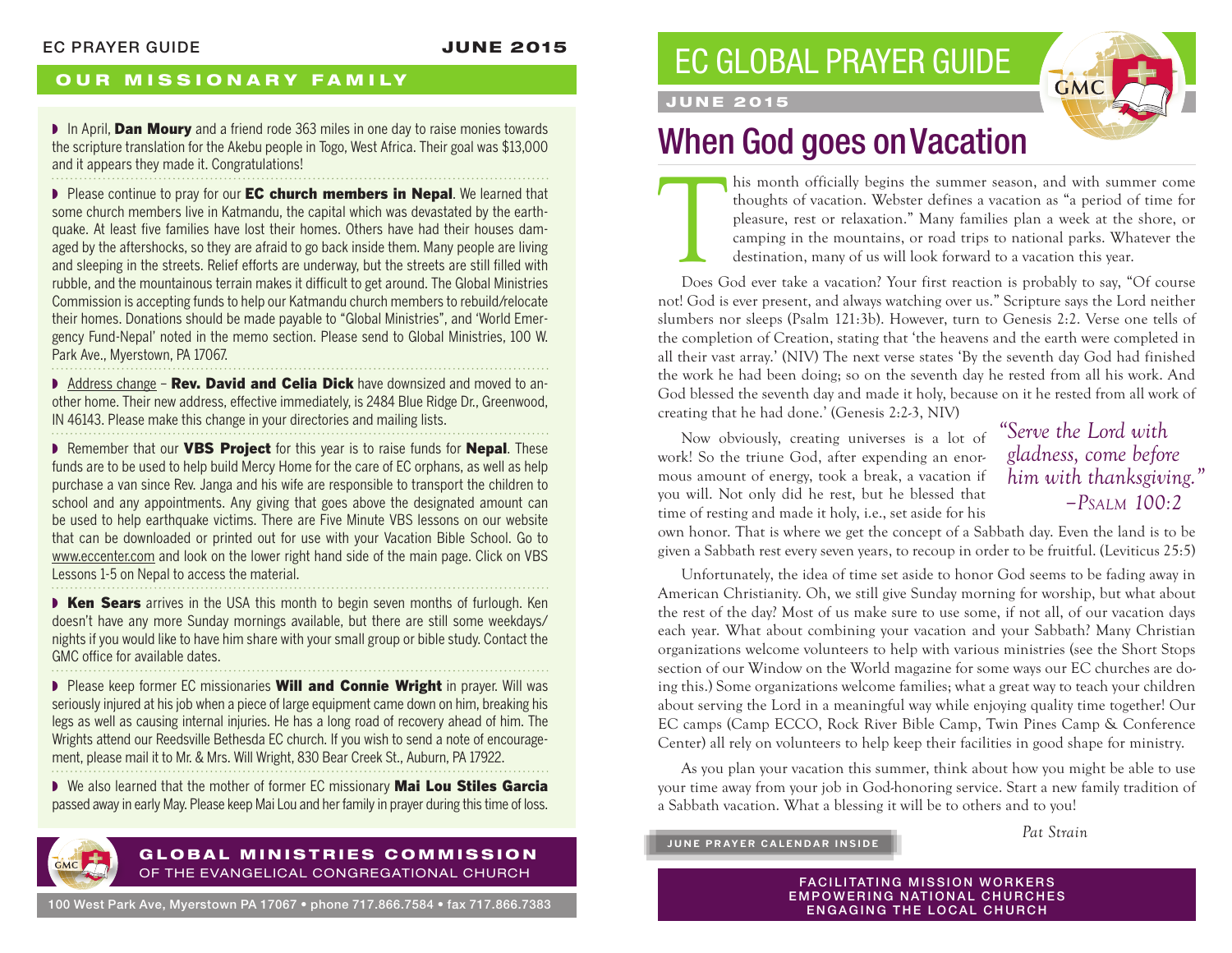### OUR MISSIONARY FAMILY

In April, Dan Moury and a friend rode 363 miles in one day to raise monies towards the scripture translation for the Akebu people in Togo, West Africa. Their goal was \$13,000 and it appears they made it. Congratulations!

▶ Please continue to pray for our **EC church members in Nepal**. We learned that some church members live in Katmandu, the capital which was devastated by the earthquake. At least five families have lost their homes. Others have had their houses damaged by the aftershocks, so they are afraid to go back inside them. Many people are living and sleeping in the streets. Relief efforts are underway, but the streets are still filled with rubble, and the mountainous terrain makes it difficult to get around. The Global Ministries Commission is accepting funds to help our Katmandu church members to rebuild/relocate their homes. Donations should be made payable to "Global Ministries", and 'World Emergency Fund-Nepal' noted in the memo section. Please send to Global Ministries, 100 W. Park Ave., Myerstown, PA 17067.

■ Address change – Rev. David and Celia Dick have downsized and moved to another home. Their new address, effective immediately, is 2484 Blue Ridge Dr., Greenwood, IN 46143. Please make this change in your directories and mailing lists.

▶ Remember that our VBS Project for this year is to raise funds for Nepal. These funds are to be used to help build Mercy Home for the care of EC orphans, as well as help purchase a van since Rev. Janga and his wife are responsible to transport the children to school and any appointments. Any giving that goes above the designated amount can be used to help earthquake victims. There are Five Minute VBS lessons on our website that can be downloaded or printed out for use with your Vacation Bible School. Go to www.eccenter.com and look on the lower right hand side of the main page. Click on VBS Lessons 1-5 on Nepal to access the material.

■ Ken Sears arrives in the USA this month to begin seven months of furlough. Ken doesn't have any more Sunday mornings available, but there are still some weekdays/ nights if you would like to have him share with your small group or bible study. Contact the GMC office for available dates. 

▶ Please keep former EC missionaries **Will and Connie Wright** in prayer. Will was seriously injured at his job when a piece of large equipment came down on him, breaking his legs as well as causing internal injuries. He has a long road of recovery ahead of him. The Wrights attend our Reedsville Bethesda EC church. If you wish to send a note of encouragement, please mail it to Mr. & Mrs. Will Wright, 830 Bear Creek St., Auburn, PA 17922.

■ We also learned that the mother of former EC missionary Mai Lou Stiles Garcia passed away in early May. Please keep Mai Lou and her family in prayer during this time of loss.



#### GLOBAL MINISTRIES COMMISSION OF THE EVANGELICAL CONGREGATIONAL CHURCH

100 West Park Ave, Myerstown PA 17067 • phone 717.866.7584 • fax 717.866.7383

# EC GLOBAL PRAYER GUIDE



### JUNE 2015

# When God goes on Vacation

This month officially begins the summer season, and with summer come thoughts of vacation. Webster defines a vacation as "a period of time for pleasure, rest or relaxation." Many families plan a week at the shore, or campi thoughts of vacation. Webster defines a vacation as "a period of time for pleasure, rest or relaxation." Many families plan a week at the shore, or camping in the mountains, or road trips to national parks. Whatever the destination, many of us will look forward to a vacation this year.

Does God ever take a vacation? Your first reaction is probably to say, "Of course not! God is ever present, and always watching over us." Scripture says the Lord neither slumbers nor sleeps (Psalm 121:3b). However, turn to Genesis 2:2. Verse one tells of the completion of Creation, stating that 'the heavens and the earth were completed in all their vast array.' (NIV) The next verse states 'By the seventh day God had finished the work he had been doing; so on the seventh day he rested from all his work. And God blessed the seventh day and made it holy, because on it he rested from all work of creating that he had done.' (Genesis 2:2-3, NIV)

Now obviously, creating universes is a lot of work! So the triune God, after expending an enormous amount of energy, took a break, a vacation if you will. Not only did he rest, but he blessed that time of resting and made it holy, i.e., set aside for his

## *"Serve the Lord with gladness, come before him with thanksgiving." –Psalm 100:2*

own honor. That is where we get the concept of a Sabbath day. Even the land is to be given a Sabbath rest every seven years, to recoup in order to be fruitful. (Leviticus 25:5)

Unfortunately, the idea of time set aside to honor God seems to be fading away in American Christianity. Oh, we still give Sunday morning for worship, but what about the rest of the day? Most of us make sure to use some, if not all, of our vacation days each year. What about combining your vacation and your Sabbath? Many Christian organizations welcome volunteers to help with various ministries (see the Short Stops section of our Window on the World magazine for some ways our EC churches are doing this.) Some organizations welcome families; what a great way to teach your children about serving the Lord in a meaningful way while enjoying quality time together! Our EC camps (Camp ECCO, Rock River Bible Camp, Twin Pines Camp & Conference Center) all rely on volunteers to help keep their facilities in good shape for ministry.

As you plan your vacation this summer, think about how you might be able to use your time away from your job in God-honoring service. Start a new family tradition of a Sabbath vacation. What a blessing it will be to others and to you!

**JUNE PRAYER CALENDAR INSIDE**

*Pat Strain*

**FACILITATING MISSION WORKERS EMPOWERING NATIONAL CHURCHES** ENGAGING THE LOCAL CHURCH